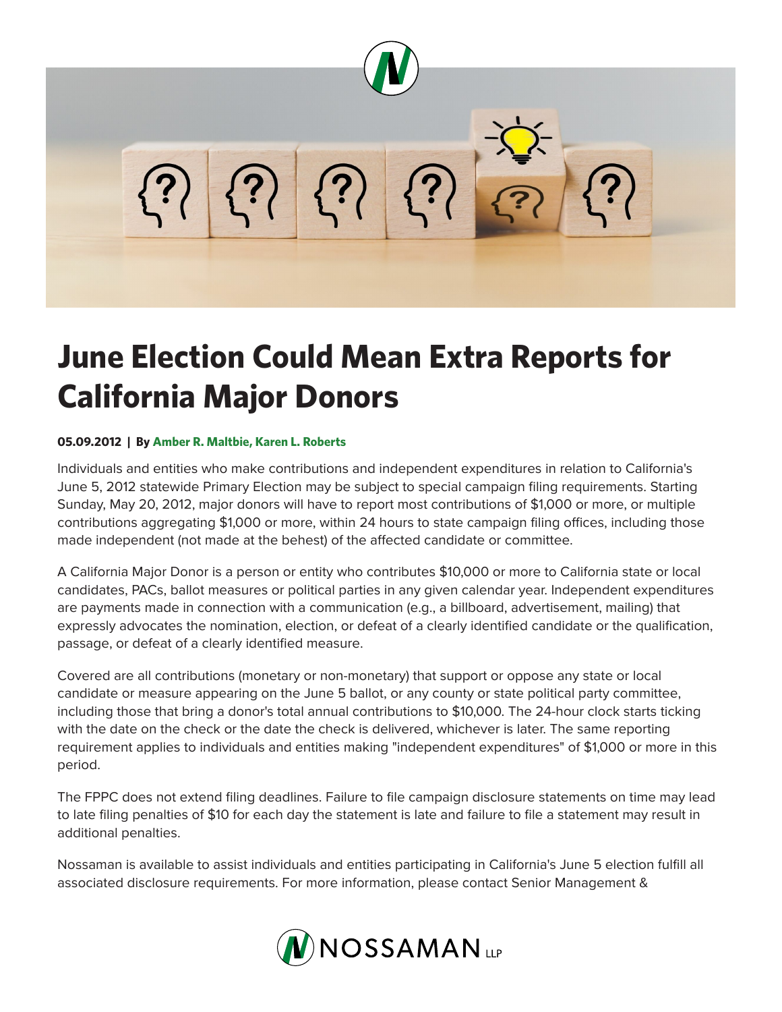

## **June Election Could Mean Extra Reports for California Major Donors**

## **05.09.2012 | By Amber R. Maltbie, Karen L. Roberts**

Individuals and entities who make contributions and independent expenditures in relation to California's June 5, 2012 statewide Primary Election may be subject to special campaign filing requirements. Starting Sunday, May 20, 2012, major donors will have to report most contributions of \$1,000 or more, or multiple contributions aggregating \$1,000 or more, within 24 hours to state campaign filing offices, including those made independent (not made at the behest) of the affected candidate or committee.

A California Major Donor is a person or entity who contributes \$10,000 or more to California state or local candidates, PACs, ballot measures or political parties in any given calendar year. Independent expenditures are payments made in connection with a communication (e.g., a billboard, advertisement, mailing) that expressly advocates the nomination, election, or defeat of a clearly identified candidate or the qualification, passage, or defeat of a clearly identified measure.

Covered are all contributions (monetary or non-monetary) that support or oppose any state or local candidate or measure appearing on the June 5 ballot, or any county or state political party committee, including those that bring a donor's total annual contributions to \$10,000. The 24-hour clock starts ticking with the date on the check or the date the check is delivered, whichever is later. The same reporting requirement applies to individuals and entities making "independent expenditures" of \$1,000 or more in this period.

The FPPC does not extend filing deadlines. Failure to file campaign disclosure statements on time may lead to late filing penalties of \$10 for each day the statement is late and failure to file a statement may result in additional penalties.

Nossaman is available to assist individuals and entities participating in California's June 5 election fulfill all associated disclosure requirements. For more information, please contact Senior Management &